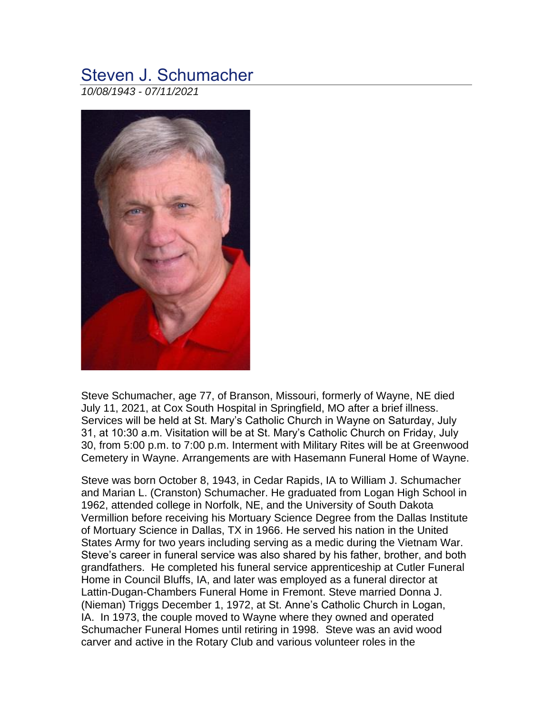## Steven J. Schumacher

*10/08/1943 - 07/11/2021*



Steve Schumacher, age 77, of Branson, Missouri, formerly of Wayne, NE died July 11, 2021, at Cox South Hospital in Springfield, MO after a brief illness. Services will be held at St. Mary's Catholic Church in Wayne on Saturday, July 31, at 10:30 a.m. Visitation will be at St. Mary's Catholic Church on Friday, July 30, from 5:00 p.m. to 7:00 p.m. Interment with Military Rites will be at Greenwood Cemetery in Wayne. Arrangements are with Hasemann Funeral Home of Wayne.

Steve was born October 8, 1943, in Cedar Rapids, IA to William J. Schumacher and Marian L. (Cranston) Schumacher. He graduated from Logan High School in 1962, attended college in Norfolk, NE, and the University of South Dakota Vermillion before receiving his Mortuary Science Degree from the Dallas Institute of Mortuary Science in Dallas, TX in 1966. He served his nation in the United States Army for two years including serving as a medic during the Vietnam War. Steve's career in funeral service was also shared by his father, brother, and both grandfathers. He completed his funeral service apprenticeship at Cutler Funeral Home in Council Bluffs, IA, and later was employed as a funeral director at Lattin-Dugan-Chambers Funeral Home in Fremont. Steve married Donna J. (Nieman) Triggs December 1, 1972, at St. Anne's Catholic Church in Logan, IA. In 1973, the couple moved to Wayne where they owned and operated Schumacher Funeral Homes until retiring in 1998. Steve was an avid wood carver and active in the Rotary Club and various volunteer roles in the